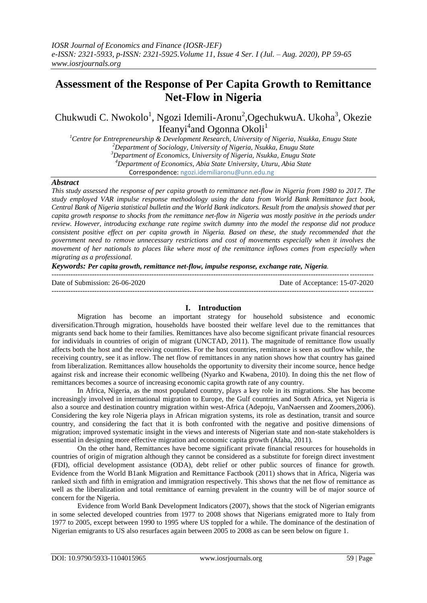# **Assessment of the Response of Per Capita Growth to Remittance Net-Flow in Nigeria**

Chukwudi C. Nwokolo<sup>1</sup>, Ngozi Idemili-Aronu<sup>2</sup>, OgechukwuA. Ukoha<sup>3</sup>, Okezie Ifeanyi<sup>4</sup>and Ogonna Okoli<sup>1</sup>

*Centre for Entrepreneurship & Development Research, University of Nigeria, Nsukka, Enugu State Department of Sociology, University of Nigeria, Nsukka, Enugu State Department of Economics, University of Nigeria, Nsukka, Enugu State Department of Economics, Abia State University, Uturu, Abia State* Correspondence: ngozi.idemiliaronu@unn.edu.ng

#### *Abstract*

*This study assessed the response of per capita growth to remittance net-flow in Nigeria from 1980 to 2017. The study employed VAR impulse response methodology using the data from World Bank Remittance fact book, Central Bank of Nigeria statistical bulletin and the World Bank indicators. Result from the analysis showed that per capita growth response to shocks from the remittance net-flow in Nigeria was mostly positive in the periods under review. However, introducing exchange rate regime switch dummy into the model the response did not produce consistent positive effect on per capita growth in Nigeria. Based on these, the study recommended that the government need to remove unnecessary restrictions and cost of movements especially when it involves the movement of her nationals to places like where most of the remittance inflows comes from especially when migrating as a professional.*

*Keywords: Per capita growth, remittance net-flow, impulse response, exchange rate, Nigeria.*

| Date of Submission: 26-06-2020 | Date of Acceptance: 15-07-2020 |
|--------------------------------|--------------------------------|
|                                |                                |

### **I. Introduction**

Migration has become an important strategy for household subsistence and economic diversification.Through migration, households have boosted their welfare level due to the remittances that migrants send back home to their families. Remittances have also become significant private financial resources for individuals in countries of origin of migrant (UNCTAD, 2011). The magnitude of remittance flow usually affects both the host and the receiving countries. For the host countries, remittance is seen as outflow while, the receiving country, see it as inflow. The net flow of remittances in any nation shows how that country has gained from liberalization. Remittances allow households the opportunity to diversity their income source, hence hedge against risk and increase their economic wellbeing (Nyarko and Kwabena, 2010). In doing this the net flow of remittances becomes a source of increasing economic capita growth rate of any country.

In Africa, Nigeria, as the most populated country, plays a key role in its migrations. She has become increasingly involved in international migration to Europe, the Gulf countries and South Africa, yet Nigeria is also a source and destination country migration within west-Africa (Adepoju, VanNaerssen and Zoomers,2006). Considering the key role Nigeria plays in African migration systems, its role as destination, transit and source country, and considering the fact that it is both confronted with the negative and positive dimensions of migration; improved systematic insight in the views and interests of Nigerian state and non-state stakeholders is essential in designing more effective migration and economic capita growth (Afaha, 2011).

On the other hand, Remittances have become significant private financial resources for households in countries of origin of migration although they cannot be considered as a substitute for foreign direct investment (FDI), official development assistance (ODA), debt relief or other public sources of finance for growth. Evidence from the World B1ank Migration and Remittance Factbook (2011) shows that in Africa, Nigeria was ranked sixth and fifth in emigration and immigration respectively. This shows that the net flow of remittance as well as the liberalization and total remittance of earning prevalent in the country will be of major source of concern for the Nigeria.

Evidence from World Bank Development Indicators (2007), shows that the stock of Nigerian emigrants in some selected developed countries from 1977 to 2008 shows that Nigerians emigrated more to Italy from 1977 to 2005, except between 1990 to 1995 where US toppled for a while. The dominance of the destination of Nigerian emigrants to US also resurfaces again between 2005 to 2008 as can be seen below on figure 1.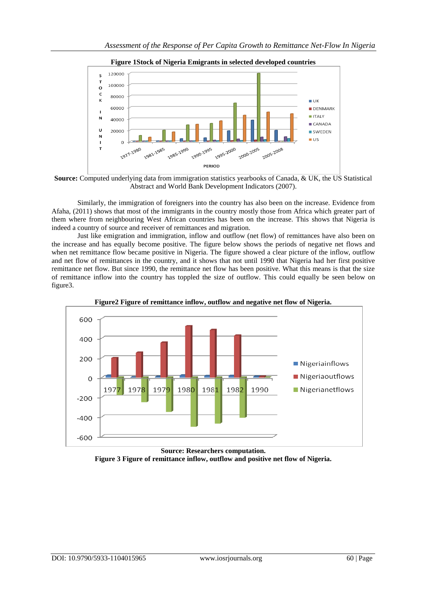

**Figure 1Stock of Nigeria Emigrants in selected developed countries**



Similarly, the immigration of foreigners into the country has also been on the increase. Evidence from Afaha, (2011) shows that most of the immigrants in the country mostly those from Africa which greater part of them where from neighbouring West African countries has been on the increase. This shows that Nigeria is indeed a country of source and receiver of remittances and migration.

Just like emigration and immigration, inflow and outflow (net flow) of remittances have also been on the increase and has equally become positive. The figure below shows the periods of negative net flows and when net remittance flow became positive in Nigeria. The figure showed a clear picture of the inflow, outflow and net flow of remittances in the country, and it shows that not until 1990 that Nigeria had her first positive remittance net flow. But since 1990, the remittance net flow has been positive. What this means is that the size of remittance inflow into the country has toppled the size of outflow. This could equally be seen below on figure3.





**Source: Researchers computation. Figure 3 Figure of remittance inflow, outflow and positive net flow of Nigeria.**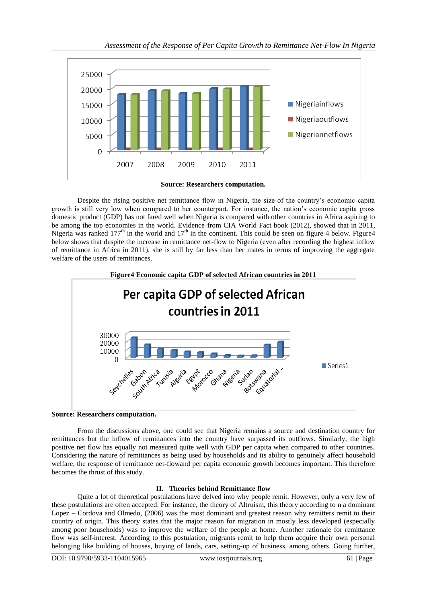

**Source: Researchers computation.**

Despite the rising positive net remittance flow in Nigeria, the size of the country"s economic capita growth is still very low when compared to her counterpart. For instance, the nation"s economic capita gross domestic product (GDP) has not fared well when Nigeria is compared with other countries in Africa aspiring to be among the top economies in the world. Evidence from CIA World Fact book (2012), showed that in 2011, Nigeria was ranked  $177<sup>th</sup>$  in the world and  $17<sup>th</sup>$  in the continent. This could be seen on figure 4 below. Figure 4 below shows that despite the increase in remittance net-flow to Nigeria (even after recording the highest inflow of remittance in Africa in 2011), she is still by far less than her mates in terms of improving the aggregate welfare of the users of remittances.



**Source: Researchers computation.**

From the discussions above, one could see that Nigeria remains a source and destination country for remittances but the inflow of remittances into the country have surpassed its outflows. Similarly, the high positive net flow has equally not measured quite well with GDP per capita when compared to other countries. Considering the nature of remittances as being used by households and its ability to genuinely affect household welfare, the response of remittance net-flowand per capita economic growth becomes important. This therefore becomes the thrust of this study.

## **II. Theories behind Remittance flow**

Quite a lot of theoretical postulations have delved into why people remit. However, only a very few of these postulations are often accepted. For instance, the theory of Altruism, this theory according to n a dominant Lopez – Cordova and Olmedo, (2006) was the most dominant and greatest reason why remitters remit to their country of origin. This theory states that the major reason for migration in mostly less developed (especially among poor households) was to improve the welfare of the people at home. Another rationale for remittance flow was self-interest. According to this postulation, migrants remit to help them acquire their own personal belonging like building of houses, buying of lands, cars, setting-up of business, among others. Going further,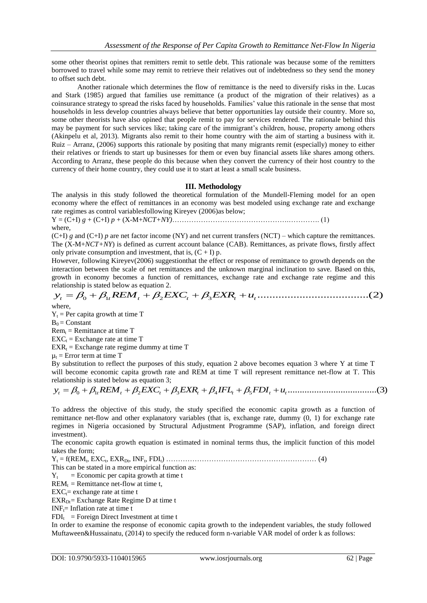some other theorist opines that remitters remit to settle debt. This rationale was because some of the remitters borrowed to travel while some may remit to retrieve their relatives out of indebtedness so they send the money to offset such debt.

Another rationale which determines the flow of remittance is the need to diversify risks in the. Lucas and Stark (1985) argued that families use remittance (a product of the migration of their relatives) as a coinsurance strategy to spread the risks faced by households. Families" value this rationale in the sense that most households in less develop countries always believe that better opportunities lay outside their country. More so, some other theorists have also opined that people remit to pay for services rendered. The rationale behind this may be payment for such services like; taking care of the immigrant's children, house, property among others (Akinpelu et al, 2013). Migrants also remit to their home country with the aim of starting a business with it. Ruiz – Arranz, (2006) supports this rationale by positing that many migrants remit (especially) money to either their relatives or friends to start up businesses for them or even buy financial assets like shares among others. According to Arranz, these people do this because when they convert the currency of their host country to the currency of their home country, they could use it to start at least a small scale business.

## **III. Methodology**

The analysis in this study followed the theoretical formulation of the Mundell-Fleming model for an open economy where the effect of remittances in an economy was best modeled using exchange rate and exchange rate regimes as control variablesfollowing Kireyev (2006)as below;

Y = (C+I) *g* + (C+I) *p* + (X-M+*NCT+NY)*………………………………………….…………. (1) where,

(C+I)  $g$  and (C+I)  $p$  are net factor income (NY) and net current transfers (NCT) – which capture the remittances. The (X-M+*NCT+NY*) is defined as current account balance (CAB). Remittances, as private flows, firstly affect only private consumption and investment, that is,  $(C + I)$  p.

However, following Kireyev(2006) suggestionthat the effect or response of remittance to growth depends on the interaction between the scale of net remittances and the unknown marginal inclination to save. Based on this, growth in economy becomes a function of remittances, exchange rate and exchange rate regime and this relationship is stated below as equation 2. mly private consumption and investment, that is,  $(C + I)$  p.<br>However, following Kireyev(2006) suggestionthat the effect or response of remittance to growth depends on the<br>nteraction between the scale of net remittances and

where,

 $Y_t$  = Per capita growth at time T

 $B_0 =$ Constant

 $Rem_t = Remittance$  at time T

 $EXC_t = Exchange$  rate at time T

 $EXR_t = Exchange$  rate regime dummy at time T

 $\mu_t$  = Error term at time T

By substitution to reflect the purposes of this study, equation 2 above becomes equation 3 where Y at time T will become economic capita growth rate and REM at time T will represent remittance net-flow at T. This relationship is stated below as equation 3;  $\mathbb{E}XR_t$  = Exchange rate regime dummy at time T<br>  $u_t$  = Error term at time T<br>  $\mathbb{E}Y_t$  substitution to reflect the purposes of this study, equation 2 above becomes equation 3 where Y at time T<br>
will become economic c

To address the objective of this study, the study specified the economic capita growth as a function of remittance net-flow and other explanatory variables (that is, exchange rate, dummy (0, 1) for exchange rate regimes in Nigeria occasioned by Structural Adjustment Programme (SAP), inflation, and foreign direct investment).

The economic capita growth equation is estimated in nominal terms thus, the implicit function of this model takes the form;

 $Y_t = f(REM_t, EXC_t, EXP_t, INF_t, FDI_t) \dots (4)$ 

This can be stated in a more empirical function as:

 $Y_t$  = Economic per capita growth at time t

 $REM_t =$  Remittance net-flow at time t,

 $EXC<sub>t</sub>=$  exchange rate at time t

 $EXR_{Df}$  = Exchange Rate Regime D at time t

 $INF_t = Inflation rate at time t$ 

 $FDI_t$  = Foreign Direct Investment at time t

In order to examine the response of economic capita growth to the independent variables, the study followed Muftaween&Hussainatu, (2014) to specify the reduced form n-variable VAR model of order k as follows: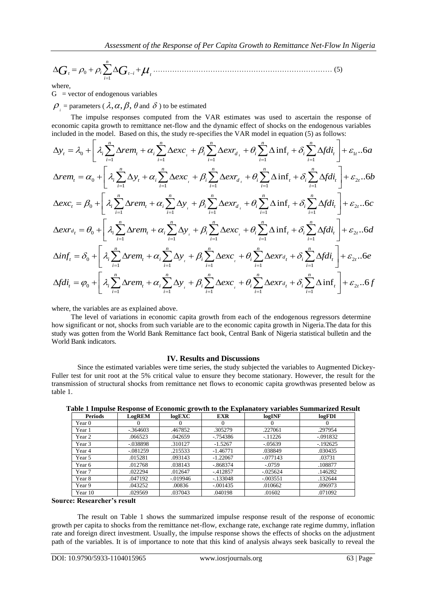0 1 *n i t t i <sup>t</sup> i G G* ………………………………………………………………… (5)

where,

 $G =$  vector of endogenous variables

 $\boldsymbol{\beta}_i$  = parameters (  $\lambda, \alpha, \beta, \theta$  and  $\delta$  ) to be estimated

economic capita growth to remittance net-flow and the dynamic effect of shocks on the endogenous variables included in the model. Based on this, the study re-specifies the VAR model in equation (5) as follows:<br>  $\Delta v = \frac{2}{$ 

G = vector of endogenous variables  
\n
$$
\rho_i
$$
 = parameters  $(\lambda, \alpha, \beta, \theta$  and  $\delta)$  to be estimated  
\nThe impulse responses computed from the VAR estimates was used to ascertain the response of  
\neconomic capital growth to remittance net-flow and the dynamic effect of shocks on the endogenous variables  
\nincluded in the model. Based on this, the study re-specifies the VAR model in equation (5) as follows:  
\n $\Delta y_i = \lambda_0 + \left[ \lambda_i \sum_{i=1}^n \Delta rem_i + \alpha_i \sum_{i=1}^n \Delta exc_i + \beta_i \sum_{i=1}^n \Delta extr_i + \theta_i \sum_{i=1}^n \Delta inf_i + \delta_i \sum_{i=1}^n \Delta fdi_i \right] + \epsilon_{1i} \cdot .6a$   
\n $\Delta rem_i = \alpha_0 + \left[ \lambda_i \sum_{i=1}^n \Delta y_i + \alpha_i \sum_{i=1}^n \Delta exc_i + \beta_i \sum_{i=1}^n \Delta err_{d_i} + \theta_i \sum_{i=1}^n \Delta inf_i + \delta_i \sum_{i=1}^n \Delta fdi_i \right] + \epsilon_{2i} \cdot .6b$   
\n $\Delta exc_i = \beta_0 + \left[ \lambda_i \sum_{i=1}^n \Delta rem_i + \alpha_i \sum_{i=1}^n \Delta y_i + \beta_i \sum_{i=1}^n \Delta err_{d_i} + \theta_i \sum_{i=1}^n \Delta inf_i + \delta_i \sum_{i=1}^n \Delta fdi_i \right] + \epsilon_{2i} \cdot .6c$   
\n $\Delta extra_i = \theta_0 + \left[ \lambda_i \sum_{i=1}^n \Delta rem_i + \alpha_i \sum_{i=1}^n \Delta y_i + \beta_i \sum_{i=1}^n \Delta exc_i + \theta_i \sum_{i=1}^n \Delta inf_i + \delta_i \sum_{i=1}^n \Delta fdi_i \right] + \epsilon_{2i} \cdot .6d$   
\n $\Delta inf_i = \delta_0 + \left[ \lambda_i \sum_{i=1}^n \Delta rem_i + \alpha_i \sum_{i=1}^n \Delta y_i + \beta_i \sum_{i=1}^n \Delta exc_i + \theta_i \sum_{i=1}^n \Delta extr_{d_i} + \delta_i \sum_{i=1}^n \Delta fdi_i \right] + \epsilon_{2i} \cdot .6e$   
\n $\Delta fdi_i = \phi_0 + \left[ \lambda_i \sum_{i=1}^n \Delta rem_i +$ 

where, the variables are as explained above.

The level of variations in economic capita growth from each of the endogenous regressors determine how significant or not, shocks from such variable are to the economic capita growth in Nigeria.The data for this study was gotten from the World Bank Remittance fact book, Central Bank of Nigeria statistical bulletin and the World Bank indicators.

### **IV. Results and Discussions**

Since the estimated variables were time series, the study subjected the variables to Augmented Dickey-Fuller test for unit root at the 5% critical value to ensure they become stationary. However, the result for the transmission of structural shocks from remittance net flows to economic capita growthwas presented below as table 1.

| <b>Periods</b> | LogREM      | -<br>logEXC | <b>EXR</b>  | logINF      | logFDI     |
|----------------|-------------|-------------|-------------|-------------|------------|
| Year 0         |             |             | $\theta$    |             |            |
| Year 1         | $-0.364603$ | .467852     | .305279     | .227061     | .297954    |
| Year 2         | .066523     | .042659     | $-0.754386$ | $-11226$    | $-.091832$ |
| Year 3         | $-.038898$  | .310127     | $-1.5267$   | $-.05639$   | $-192625$  |
| Year 4         | $-081259$   | .215533     | $-1.46771$  | .038849     | .030435    |
| Year 5         | .015281     | .093143     | $-1.22067$  | $-.077143$  | .03731     |
| Year 6         | .012768     | .038143     | $-0.868374$ | $-.0759$    | .108877    |
| Year 7         | .022294     | .012647     | $-412857$   | $-0.025624$ | .146282    |
| Year 8         | .047192     | $-0.019946$ | $-133048$   | $-.003551$  | .132644    |
| Year 9         | .043252     | .00836      | $-.001435$  | .010662     | .096973    |
| Year 10        | .029569     | .037043     | .040198     | .01602      | .071092    |

**Table 1 Impulse Response of Economic growth to the Explanatory variables Summarized Result**

## **Source: Researcher's result**

The result on Table 1 shows the summarized impulse response result of the response of economic growth per capita to shocks from the remittance net-flow, exchange rate, exchange rate regime dummy, inflation rate and foreign direct investment. Usually, the impulse response shows the effects of shocks on the adjustment path of the variables. It is of importance to note that this kind of analysis always seek basically to reveal the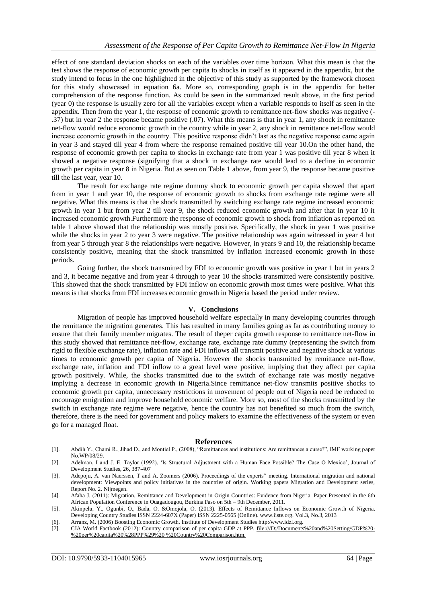effect of one standard deviation shocks on each of the variables over time horizon. What this mean is that the test shows the response of economic growth per capita to shocks in itself as it appeared in the appendix, but the study intend to focus in the one highlighted in the objective of this study as supported by the framework chosen for this study showcased in equation 6a. More so, corresponding graph is in the appendix for better comprehension of the response function. As could be seen in the summarized result above, in the first period (year 0) the response is usually zero for all the variables except when a variable responds to itself as seen in the appendix. Then from the year 1, the response of economic growth to remittance net-flow shocks was negative (- .37) but in year 2 the response became positive (.07). What this means is that in year 1, any shock in remittance net-flow would reduce economic growth in the country while in year 2, any shock in remittance net-flow would increase economic growth in the country. This positive response didn"t last as the negative response came again in year 3 and stayed till year 4 from where the response remained positive till year 10.On the other hand, the response of economic growth per capita to shocks in exchange rate from year 1 was positive till year 8 when it showed a negative response (signifying that a shock in exchange rate would lead to a decline in economic growth per capita in year 8 in Nigeria. But as seen on Table 1 above, from year 9, the response became positive till the last year, year 10.

The result for exchange rate regime dummy shock to economic growth per capita showed that apart from in year 1 and year 10, the response of economic growth to shocks from exchange rate regime were all negative. What this means is that the shock transmitted by switching exchange rate regime increased economic growth in year 1 but from year 2 till year 9, the shock reduced economic growth and after that in year 10 it increased economic growth.Furthermore the response of economic growth to shock from inflation as reported on table 1 above showed that the relationship was mostly positive. Specifically, the shock in year 1 was positive while the shocks in year 2 to year 3 were negative. The positive relationship was again witnessed in year 4 but from year 5 through year 8 the relationships were negative. However, in years 9 and 10, the relationship became consistently positive, meaning that the shock transmitted by inflation increased economic growth in those periods.

Going further, the shock transmitted by FDI to economic growth was positive in year 1 but in years 2 and 3, it became negative and from year 4 through to year 10 the shocks transmitted were consistently positive. This showed that the shock transmitted by FDI inflow on economic growth most times were positive. What this means is that shocks from FDI increases economic growth in Nigeria based the period under review.

#### **V. Conclusions**

Migration of people has improved household welfare especially in many developing countries through the remittance the migration generates. This has resulted in many families going as far as contributing money to ensure that their family member migrates. The result of theper capita growth response to remittance net-flow in this study showed that remittance net-flow, exchange rate, exchange rate dummy (representing the switch from rigid to flexible exchange rate), inflation rate and FDI inflows all transmit positive and negative shock at various times to economic growth per capita of Nigeria. However the shocks transmitted by remittance net-flow, exchange rate, inflation and FDI inflow to a great level were positive, implying that they affect per capita growth positively. While, the shocks transmitted due to the switch of exchange rate was mostly negative implying a decrease in economic growth in Nigeria.Since remittance net-flow transmits positive shocks to economic growth per capita, unnecessary restrictions in movement of people out of Nigeria need be reduced to encourage emigration and improve household economic welfare. More so, most of the shocks transmitted by the switch in exchange rate regime were negative, hence the country has not benefited so much from the switch, therefore, there is the need for government and policy makers to examine the effectiveness of the system or even go for a managed float.

#### **References**

- [1]. Abdih Y., Chami R., Jihad D., and Montiel P., (2008), "Remittances and institutions: Are remittances a curse?", IMF working paper No.WP/08/29.
- [2]. Adelman, I and J. E. Taylor (1992), "Is Structural Adjustment with a Human Face Possible? The Case O Mexico", Journal of Development Studies, 26, 387-407
- [3]. Adepoju, A. van Naerssen, T and A. Zoomers (2006). Proceedings of the experts" meeting. International migration and national development: Viewpoints and policy initiatives in the countries of origin. Working papers Migration and Development series, Report No. 2. Nijmegen.
- [4]. Afaha J, (2011): Migration, Remittance and Development in Origin Countries: Evidence from Nigeria. Paper Presented in the 6th African Population Conference in Ouagadougou, Burkina Faso on 5th – 9th December, 2011.
- [5]. Akinpelu, Y., Ogunbi, O., Bada, O. &Omojola, O. (2013). Effects of Remittance Inflows on Economic Growth of Nigeria. Developing Country Studies ISSN 2224-607X (Paper) ISSN 2225-0565 (Online). www.iiste.org. Vol.3, No.3, 2013
- [6]. Arranz, M. (2006) Boosting Economic Growth. Institute of Development Studies http:/www.idzl.org.
- [7]. CIA World Factbook (2012): Country comparison of per capita GDP at PPP. [file:///D:/Documents%20and%20Setting/GDP%20-](file:///D:\Documents%20and%20Setting\GDP%20-%20per%20capita%20(PPP)) [%20per%20capita%20%28PPP%29%20](file:///D:\Documents%20and%20Setting\GDP%20-%20per%20capita%20(PPP)) %20Country%20Comparison.htm.